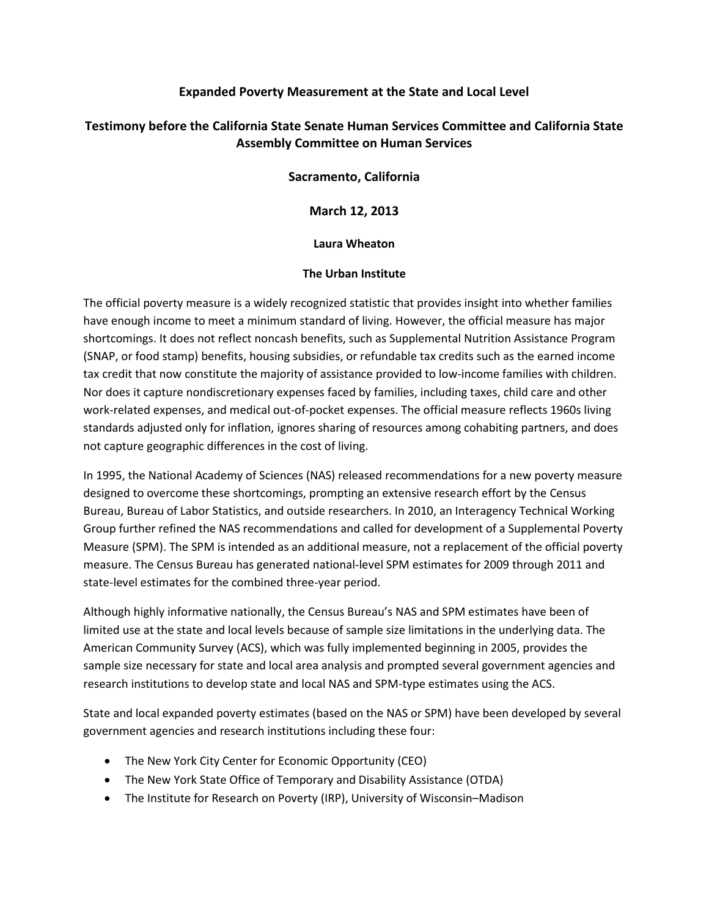### **Expanded Poverty Measurement at the State and Local Level**

# **Testimony before the California State Senate Human Services Committee and California State Assembly Committee on Human Services**

**Sacramento, California** 

**March 12, 2013**

**Laura Wheaton**

#### **The Urban Institute**

The official poverty measure is a widely recognized statistic that provides insight into whether families have enough income to meet a minimum standard of living. However, the official measure has major shortcomings. It does not reflect noncash benefits, such as Supplemental Nutrition Assistance Program (SNAP, or food stamp) benefits, housing subsidies, or refundable tax credits such as the earned income tax credit that now constitute the majority of assistance provided to low-income families with children. Nor does it capture nondiscretionary expenses faced by families, including taxes, child care and other work-related expenses, and medical out-of-pocket expenses. The official measure reflects 1960s living standards adjusted only for inflation, ignores sharing of resources among cohabiting partners, and does not capture geographic differences in the cost of living.

In 1995, the National Academy of Sciences (NAS) released recommendations for a new poverty measure designed to overcome these shortcomings, prompting an extensive research effort by the Census Bureau, Bureau of Labor Statistics, and outside researchers. In 2010, an Interagency Technical Working Group further refined the NAS recommendations and called for development of a Supplemental Poverty Measure (SPM). The SPM is intended as an additional measure, not a replacement of the official poverty measure. The Census Bureau has generated national-level SPM estimates for 2009 through 2011 and state-level estimates for the combined three-year period.

Although highly informative nationally, the Census Bureau's NAS and SPM estimates have been of limited use at the state and local levels because of sample size limitations in the underlying data. The American Community Survey (ACS), which was fully implemented beginning in 2005, provides the sample size necessary for state and local area analysis and prompted several government agencies and research institutions to develop state and local NAS and SPM-type estimates using the ACS.

State and local expanded poverty estimates (based on the NAS or SPM) have been developed by several government agencies and research institutions including these four:

- The New York City Center for Economic Opportunity (CEO)
- The New York State Office of Temporary and Disability Assistance (OTDA)
- The Institute for Research on Poverty (IRP), University of Wisconsin–Madison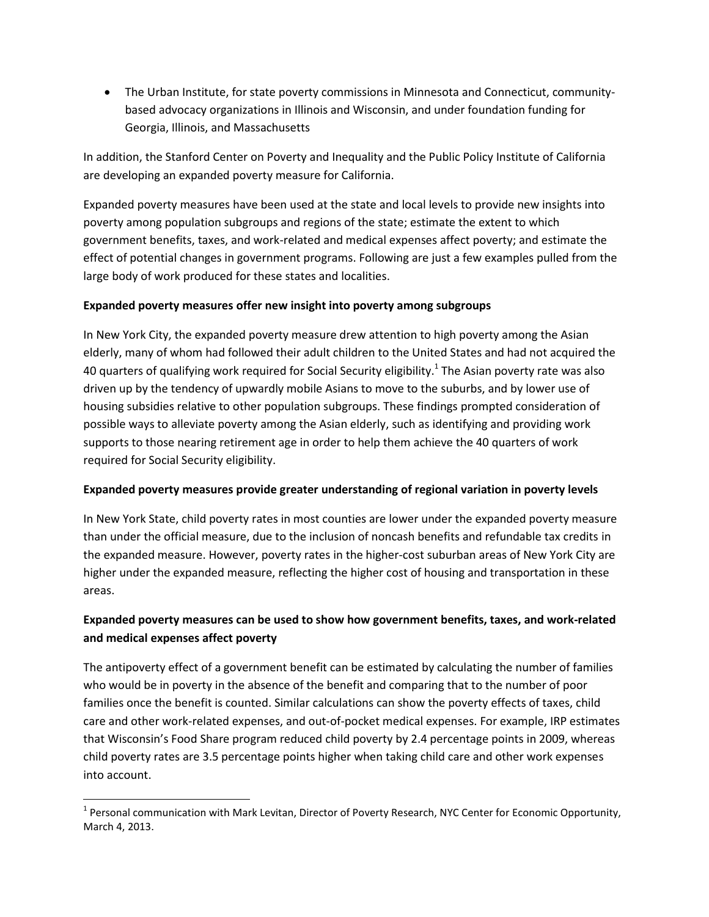The Urban Institute, for state poverty commissions in Minnesota and Connecticut, communitybased advocacy organizations in Illinois and Wisconsin, and under foundation funding for Georgia, Illinois, and Massachusetts

In addition, the Stanford Center on Poverty and Inequality and the Public Policy Institute of California are developing an expanded poverty measure for California.

Expanded poverty measures have been used at the state and local levels to provide new insights into poverty among population subgroups and regions of the state; estimate the extent to which government benefits, taxes, and work-related and medical expenses affect poverty; and estimate the effect of potential changes in government programs. Following are just a few examples pulled from the large body of work produced for these states and localities.

### **Expanded poverty measures offer new insight into poverty among subgroups**

In New York City, the expanded poverty measure drew attention to high poverty among the Asian elderly, many of whom had followed their adult children to the United States and had not acquired the 40 quarters of qualifying work required for Social Security eligibility.<sup>1</sup> The Asian poverty rate was also driven up by the tendency of upwardly mobile Asians to move to the suburbs, and by lower use of housing subsidies relative to other population subgroups. These findings prompted consideration of possible ways to alleviate poverty among the Asian elderly, such as identifying and providing work supports to those nearing retirement age in order to help them achieve the 40 quarters of work required for Social Security eligibility.

#### **Expanded poverty measures provide greater understanding of regional variation in poverty levels**

In New York State, child poverty rates in most counties are lower under the expanded poverty measure than under the official measure, due to the inclusion of noncash benefits and refundable tax credits in the expanded measure. However, poverty rates in the higher-cost suburban areas of New York City are higher under the expanded measure, reflecting the higher cost of housing and transportation in these areas.

## **Expanded poverty measures can be used to show how government benefits, taxes, and work-related and medical expenses affect poverty**

The antipoverty effect of a government benefit can be estimated by calculating the number of families who would be in poverty in the absence of the benefit and comparing that to the number of poor families once the benefit is counted. Similar calculations can show the poverty effects of taxes, child care and other work-related expenses, and out-of-pocket medical expenses. For example, IRP estimates that Wisconsin's Food Share program reduced child poverty by 2.4 percentage points in 2009, whereas child poverty rates are 3.5 percentage points higher when taking child care and other work expenses into account.

l

<sup>&</sup>lt;sup>1</sup> Personal communication with Mark Levitan, Director of Poverty Research, NYC Center for Economic Opportunity, March 4, 2013.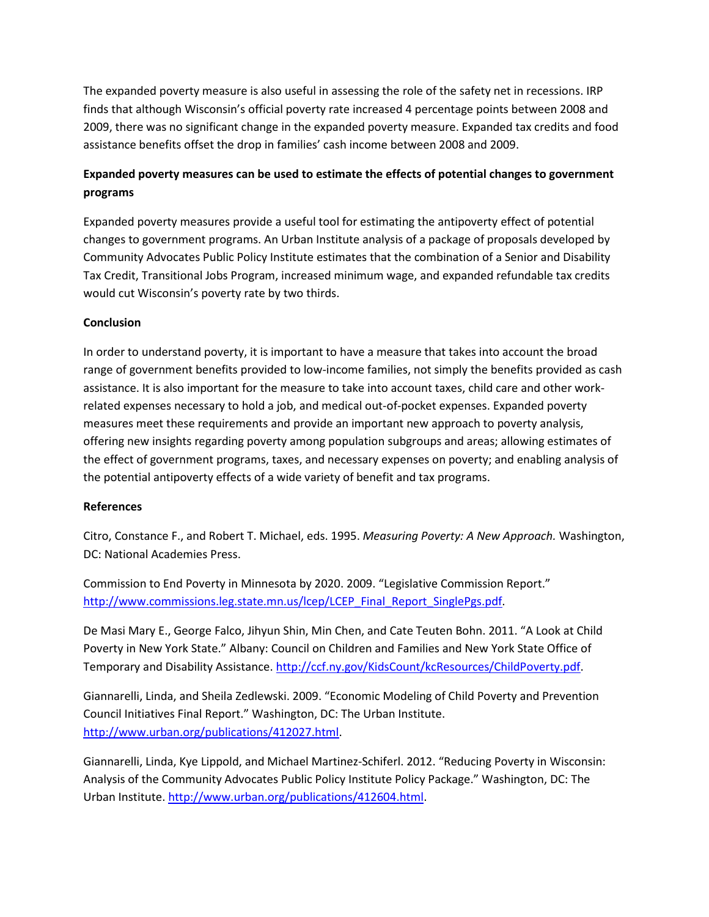The expanded poverty measure is also useful in assessing the role of the safety net in recessions. IRP finds that although Wisconsin's official poverty rate increased 4 percentage points between 2008 and 2009, there was no significant change in the expanded poverty measure. Expanded tax credits and food assistance benefits offset the drop in families' cash income between 2008 and 2009.

# **Expanded poverty measures can be used to estimate the effects of potential changes to government programs**

Expanded poverty measures provide a useful tool for estimating the antipoverty effect of potential changes to government programs. An Urban Institute analysis of a package of proposals developed by Community Advocates Public Policy Institute estimates that the combination of a Senior and Disability Tax Credit, Transitional Jobs Program, increased minimum wage, and expanded refundable tax credits would cut Wisconsin's poverty rate by two thirds.

### **Conclusion**

In order to understand poverty, it is important to have a measure that takes into account the broad range of government benefits provided to low-income families, not simply the benefits provided as cash assistance. It is also important for the measure to take into account taxes, child care and other workrelated expenses necessary to hold a job, and medical out-of-pocket expenses. Expanded poverty measures meet these requirements and provide an important new approach to poverty analysis, offering new insights regarding poverty among population subgroups and areas; allowing estimates of the effect of government programs, taxes, and necessary expenses on poverty; and enabling analysis of the potential antipoverty effects of a wide variety of benefit and tax programs.

#### **References**

Citro, Constance F., and Robert T. Michael, eds. 1995. *Measuring Poverty: A New Approach.* Washington, DC: National Academies Press.

Commission to End Poverty in Minnesota by 2020. 2009. "Legislative Commission Report." [http://www.commissions.leg.state.mn.us/lcep/LCEP\\_Final\\_Report\\_SinglePgs.pdf.](http://www.commissions.leg.state.mn.us/lcep/LCEP_Final_Report_SinglePgs.pdf)

De Masi Mary E., George Falco, Jihyun Shin, Min Chen, and Cate Teuten Bohn. 2011. "A Look at Child Poverty in New York State." Albany: Council on Children and Families and New York State Office of Temporary and Disability Assistance. [http://ccf.ny.gov/KidsCount/kcResources/ChildPoverty.pdf.](http://ccf.ny.gov/KidsCount/kcResources/ChildPoverty.pdf)

Giannarelli, Linda, and Sheila Zedlewski. 2009. "Economic Modeling of Child Poverty and Prevention Council Initiatives Final Report." Washington, DC: The Urban Institute. [http://www.urban.org/publications/412027.html.](http://www.urban.org/publications/412027.html)

Giannarelli, Linda, Kye Lippold, and Michael Martinez-Schiferl. 2012. "Reducing Poverty in Wisconsin: Analysis of the Community Advocates Public Policy Institute Policy Package." Washington, DC: The Urban Institute. [http://www.urban.org/publications/412604.html.](http://www.urban.org/publications/412604.html)